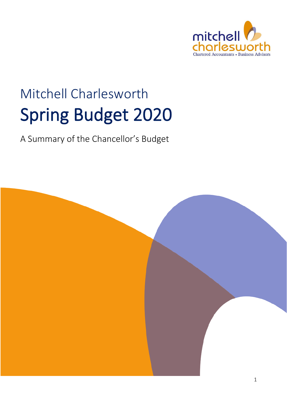

# Mitchell Charlesworth Spring Budget 2020

A Summary of the Chancellor's Budget

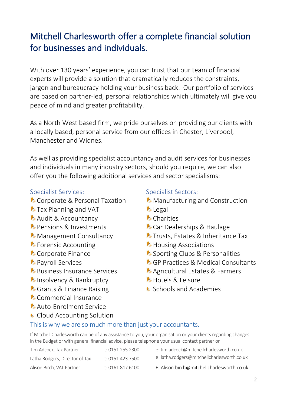## Mitchell Charlesworth offer a complete financial solution for businesses and individuals.

With over 130 years' experience, you can trust that our team of financial experts will provide a solution that dramatically reduces the constraints, jargon and bureaucracy holding your business back. Our portfolio of services are based on partner-led, personal relationships which ultimately will give you peace of mind and greater profitability.

As a North West based firm, we pride ourselves on providing our clients with a locally based, personal service from our offices in Chester, Liverpool, Manchester and Widnes.

As well as providing specialist accountancy and audit services for businesses and individuals in many industry sectors, should you require, we can also offer you the following additional services and sector specialisms:

#### Specialist Services:

- **Corporate & Personal Taxation**
- *D* Tax Planning and VAT
- **A** Audit & Accountancy
- **D** Pensions & Investments
- **Management Consultancy**
- *D* Forensic Accounting
- **Corporate Finance**
- **D** Payroll Services
- **b** Business Insurance Services
- **h** Insolvency & Bankruptcy
- **C** Grants & Finance Raising
- **Commercial Insurance**
- Auto-Enrolment Service
- **Cloud Accounting Solution**

#### Specialist Sectors:

- **Manufacturing and Construction**
- $\lambda$  Legal
- **A** Charities
- **Car Dealerships & Haulage**
- **b** Trusts, Estates & Inheritance Tax
- *D* Housing Associations
- **A** Sporting Clubs & Personalities
- **b** GP Practices & Medical Consultants
- Agricultural Estates & Farmers
- *h* Hotels & Leisure
- **B** Schools and Academies

#### This is why we are so much more than just your accountants.

If Mitchell Charlesworth can be of any assistance to you, your organisation or your clients regarding changes in the Budget or with general financial advice, please telephone your usual contact partner or

Tim Adcock, Tax Partner t: 0151 255 2300 e: [tim.adcock@mitchellcharlesworth.co.uk](mailto:adcock@mitchellcharlesworth.co.uk) Latha Rodgers, Director of Tax t: 0151 423 7500 [e:](mailto:e:) latha.rodgers@mitchellcharlesworth.co.uk Alison Birch, VAT Partner t: 0161 817 6100 E: Alison.birch@mitchellcharlesworth.co.uk

- 
-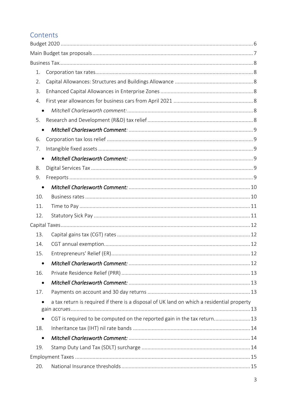#### Contents

| 1.        |                                                                                            |  |
|-----------|--------------------------------------------------------------------------------------------|--|
| 2.        |                                                                                            |  |
| 3.        |                                                                                            |  |
| 4.        |                                                                                            |  |
| $\bullet$ |                                                                                            |  |
| 5.        |                                                                                            |  |
| $\bullet$ |                                                                                            |  |
| 6.        |                                                                                            |  |
| 7.        |                                                                                            |  |
| $\bullet$ |                                                                                            |  |
| 8.        |                                                                                            |  |
| 9.        |                                                                                            |  |
| $\bullet$ |                                                                                            |  |
| 10.       |                                                                                            |  |
| 11.       |                                                                                            |  |
| 12.       |                                                                                            |  |
|           |                                                                                            |  |
| 13.       |                                                                                            |  |
| 14.       |                                                                                            |  |
| 15.       |                                                                                            |  |
| $\bullet$ |                                                                                            |  |
| 16.       |                                                                                            |  |
| $\bullet$ |                                                                                            |  |
| 17.       |                                                                                            |  |
|           | a tax return is required if there is a disposal of UK land on which a residential property |  |
|           |                                                                                            |  |
| $\bullet$ | CGT is required to be computed on the reported gain in the tax return 13                   |  |
| 18.       |                                                                                            |  |
| $\bullet$ |                                                                                            |  |
| 19.       |                                                                                            |  |
|           |                                                                                            |  |
| 20.       |                                                                                            |  |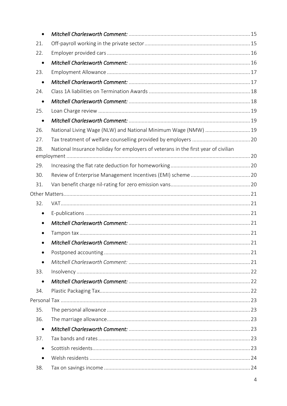| $\bullet$ |                                                                                    |  |
|-----------|------------------------------------------------------------------------------------|--|
| 21.       |                                                                                    |  |
| 22.       |                                                                                    |  |
| $\bullet$ |                                                                                    |  |
| 23.       |                                                                                    |  |
| $\bullet$ |                                                                                    |  |
| 24.       |                                                                                    |  |
| $\bullet$ |                                                                                    |  |
| 25.       |                                                                                    |  |
| $\bullet$ |                                                                                    |  |
| 26.       | National Living Wage (NLW) and National Minimum Wage (NMW)  19                     |  |
| 27.       |                                                                                    |  |
| 28.       | National Insurance holiday for employers of veterans in the first year of civilian |  |
| 29.       |                                                                                    |  |
| 30.       |                                                                                    |  |
| 31.       |                                                                                    |  |
|           |                                                                                    |  |
| 32.       |                                                                                    |  |
| $\bullet$ |                                                                                    |  |
| $\bullet$ |                                                                                    |  |
|           |                                                                                    |  |
|           |                                                                                    |  |
| $\bullet$ |                                                                                    |  |
| $\bullet$ |                                                                                    |  |
| 33.       |                                                                                    |  |
| $\bullet$ |                                                                                    |  |
| 34.       |                                                                                    |  |
|           |                                                                                    |  |
| 35.       |                                                                                    |  |
| 36.       |                                                                                    |  |
| $\bullet$ |                                                                                    |  |
| 37.       |                                                                                    |  |
| $\bullet$ |                                                                                    |  |
| $\bullet$ |                                                                                    |  |
| 38.       |                                                                                    |  |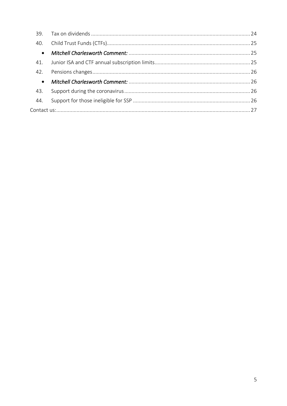| 39.       |  |  |  |  |
|-----------|--|--|--|--|
| 40.       |  |  |  |  |
| $\bullet$ |  |  |  |  |
| 41.       |  |  |  |  |
| 42.       |  |  |  |  |
| $\bullet$ |  |  |  |  |
| 43.       |  |  |  |  |
| 44.       |  |  |  |  |
|           |  |  |  |  |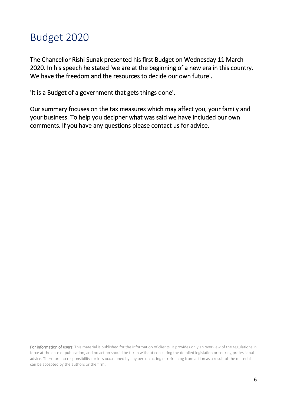## <span id="page-5-0"></span>Budget 2020

The Chancellor Rishi Sunak presented his first Budget on Wednesday 11 March 2020. In his speech he stated 'we are at the beginning of a new era in this country. We have the freedom and the resources to decide our own future'.

'It is a Budget of a government that gets things done'.

Our summary focuses on the tax measures which may affect you, your family and your business. To help you decipher what was said we have included our own comments. If you have any questions please contact us for advice.

For information of users: This material is published for the information of clients. It provides only an overview of the regulations in force at the date of publication, and no action should be taken without consulting the detailed legislation or seeking professional advice. Therefore no responsibility for loss occasioned by any person acting or refraining from action as a result of the material can be accepted by the authors or the firm.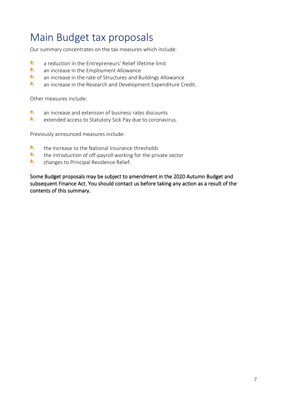## <span id="page-6-0"></span>Main Budget tax proposals

Our summary concentrates on the tax measures which include:

- $\bullet$ a reduction in the Entrepreneurs' Relief lifetime limit
- $\bullet$ an increase in the Employment Allowance
- $\bullet$ an increase in the rate of Structures and Buildings Allowance
- $\bullet$ an increase in the Research and Development Expenditure Credit.

Other measures include:

- $\bullet$ an increase and extension of business rates discounts
- $\bullet$ extended access to Statutory Sick Pay due to coronavirus.

Previously announced measures include:

- $\bullet$ the increase to the National Insurance thresholds
- $\bullet$ the introduction of off-payroll working for the private sector
- $\bullet$ changes to Principal Residence Relief.

Some Budget proposals may be subject to amendment in the 2020 Autumn Budget and subsequent Finance Act. You should contact us before taking any action as a result of the contents of this summary.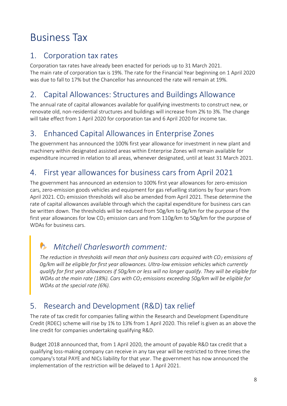## <span id="page-7-0"></span>Business Tax

#### <span id="page-7-1"></span>1. Corporation tax rates

Corporation tax rates have already been enacted for periods up to 31 March 2021. The main rate of corporation tax is 19%. The rate for the Financial Year beginning on 1 April 2020 was due to fall to 17% but the Chancellor has announced the rate will remain at 19%.

#### <span id="page-7-2"></span>2. Capital Allowances: Structures and Buildings Allowance

The annual rate of capital allowances available for qualifying investments to construct new, or renovate old, non-residential structures and buildings will increase from 2% to 3%. The change will take effect from 1 April 2020 for corporation tax and 6 April 2020 for income tax.

#### <span id="page-7-3"></span>3. Enhanced Capital Allowances in Enterprise Zones

The government has announced the 100% first year allowance for investment in new plant and machinery within designated assisted areas within Enterprise Zones will remain available for expenditure incurred in relation to all areas, whenever designated, until at least 31 March 2021.

#### <span id="page-7-4"></span>4. First year allowances for business cars from April 2021

The government has announced an extension to 100% first year allowances for zero-emission cars, zero-emission goods vehicles and equipment for gas refuelling stations by four years from April 2021. CO<sub>2</sub> emission thresholds will also be amended from April 2021. These determine the rate of capital allowances available through which the capital expenditure for business cars can be written down. The thresholds will be reduced from 50g/km to 0g/km for the purpose of the first year allowances for low  $CO<sub>2</sub>$  emission cars and from  $110g/km$  to  $50g/km$  for the purpose of WDAs for business cars.

### <span id="page-7-5"></span>*Mitchell Charlesworth comment:*

*The reduction in thresholds will mean that only business cars acquired with CO<sup>2</sup> emissions of 0g/km will be eligible for first year allowances. Ultra-low emission vehicles which currently qualify for first year allowances if 50g/km or less will no longer qualify. They will be eligible for WDAs at the main rate (18%). Cars with CO<sup>2</sup> emissions exceeding 50g/km will be eligible for WDAs at the special rate (6%).*

#### <span id="page-7-6"></span>5. Research and Development (R&D) tax relief

The rate of tax credit for companies falling within the Research and Development Expenditure Credit (RDEC) scheme will rise by 1% to 13% from 1 April 2020. This relief is given as an above the line credit for companies undertaking qualifying R&D.

Budget 2018 announced that, from 1 April 2020, the amount of payable R&D tax credit that a qualifying loss-making company can receive in any tax year will be restricted to three times the company's total PAYE and NICs liability for that year. The government has now announced the implementation of the restriction will be delayed to 1 April 2021.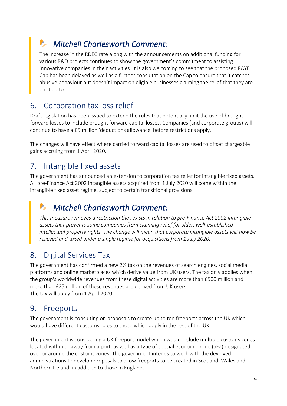### <span id="page-8-0"></span>*Mitchell Charlesworth Comment:*

The increase in the RDEC rate along with the announcements on additional funding for various R&D projects continues to show the government's commitment to assisting innovative companies in their activities. It is also welcoming to see that the proposed PAYE Cap has been delayed as well as a further consultation on the Cap to ensure that it catches abusive behaviour but doesn't impact on eligible businesses claiming the relief that they are entitled to.

#### <span id="page-8-1"></span>6. Corporation tax loss relief

Draft legislation has been issued to extend the rules that potentially limit the use of brought forward losses to include brought forward capital losses. Companies (and corporate groups) will continue to have a £5 million 'deductions allowance' before restrictions apply.

The changes will have effect where carried forward capital losses are used to offset chargeable gains accruing from 1 April 2020.

#### <span id="page-8-2"></span>7. Intangible fixed assets

The government has announced an extension to corporation tax relief for intangible fixed assets. All pre-Finance Act 2002 intangible assets acquired from 1 July 2020 will come within the intangible fixed asset regime, subject to certain transitional provisions.

### <span id="page-8-3"></span>*Mitchell Charlesworth Comment:*

*This measure removes a restriction that exists in relation to pre-Finance Act 2002 intangible assets that prevents some companies from claiming relief for older, well-established intellectual property rights. The change will mean that corporate intangible assets will now be relieved and taxed under a single regime for acquisitions from 1 July 2020.*

#### <span id="page-8-4"></span>8. Digital Services Tax

The government has confirmed a new 2% tax on the revenues of search engines, social media platforms and online marketplaces which derive value from UK users. The tax only applies when the group's worldwide revenues from these digital activities are more than £500 million and more than £25 million of these revenues are derived from UK users. The tax will apply from 1 April 2020.

#### <span id="page-8-5"></span>9. Freeports

The government is consulting on proposals to create up to ten freeports across the UK which would have different customs rules to those which apply in the rest of the UK.

The government is considering a UK freeport model which would include multiple customs zones located within or away from a port, as well as a type of special economic zone (SEZ) designated over or around the customs zones. The government intends to work with the devolved administrations to develop proposals to allow freeports to be created in Scotland, Wales and Northern Ireland, in addition to those in England.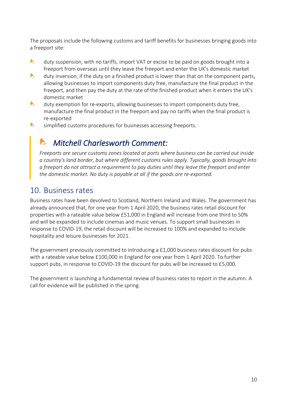The proposals include the following customs and tariff benefits for businesses bringing goods into a freeport site:

- $\bullet$ duty suspension, with no tariffs, import VAT or excise to be paid on goods brought into a freeport from overseas until they leave the freeport and enter the UK's domestic market
- $\bullet$ duty inversion, if the duty on a finished product is lower than that on the component parts, allowing businesses to import components duty free, manufacture the final product in the freeport, and then pay the duty at the rate of the finished product when it enters the UK's domestic market
- $\bullet$ duty exemption for re-exports, allowing businesses to import components duty free, manufacture the final product in the freeport and pay no tariffs when the final product is re-exported
- $\bullet$ simplified customs procedures for businesses accessing freeports.

#### <span id="page-9-0"></span>*Mitchell Charlesworth Comment:*

*Freeports are secure customs zones located at ports where business can be carried out inside a country's land border, but where different customs rules apply. Typically, goods brought into a freeport do not attract a requirement to pay duties until they leave the freeport and enter the domestic market. No duty is payable at all if the goods are re-exported.*

#### <span id="page-9-1"></span>10. Business rates

Business rates have been devolved to Scotland, Northern Ireland and Wales. The government has already announced that, for one year from 1 April 2020, the business rates retail discount for properties with a rateable value below £51,000 in England will increase from one third to 50% and will be expanded to include cinemas and music venues. To support small businesses in response to COVID-19, the retail discount will be increased to 100% and expanded to include hospitality and leisure businesses for 2021.

The government previously committed to introducing a £1,000 business rates discount for pubs with a rateable value below £100,000 in England for one year from 1 April 2020. To further support pubs, in response to COVID-19 the discount for pubs will be increased to £5,000.

The government is launching a fundamental review of business rates to report in the autumn. A call for evidence will be published in the spring.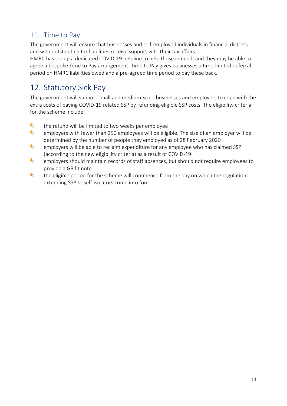#### <span id="page-10-0"></span>11. Time to Pay

The government will ensure that businesses and self-employed individuals in financial distress and with outstanding tax liabilities receive support with their tax affairs.

HMRC has set up a dedicated COVID-19 helpline to help those in need, and they may be able to agree a bespoke Time to Pay arrangement. Time to Pay gives businesses a time-limited deferral period on HMRC liabilities owed and a pre-agreed time period to pay these back.

#### <span id="page-10-1"></span>12. Statutory Sick Pay

The government will support small and medium-sized businesses and employers to cope with the extra costs of paying COVID-19 related SSP by refunding eligible SSP costs. The eligibility criteria for the scheme include:

- $\bullet$ the refund will be limited to two weeks per employee
- $\bullet$ employers with fewer than 250 employees will be eligible. The size of an employer will be determined by the number of people they employed as of 28 February 2020
- $\bullet$ employers will be able to reclaim expenditure for any employee who has claimed SSP (according to the new eligibility criteria) as a result of COVID-19
- $\bullet$ employers should maintain records of staff absences, but should not require employees to provide a GP fit note
- $\bullet$ the eligible period for the scheme will commence from the day on which the regulations extending SSP to self-isolators come into force.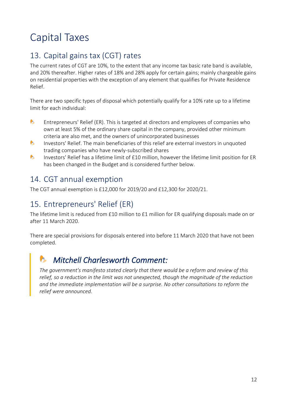## <span id="page-11-0"></span>Capital Taxes

#### <span id="page-11-1"></span>13. Capital gains tax (CGT) rates

The current rates of CGT are 10%, to the extent that any income tax basic rate band is available, and 20% thereafter. Higher rates of 18% and 28% apply for certain gains; mainly chargeable gains on residential properties with the exception of any element that qualifies for Private Residence Relief.

There are two specific types of disposal which potentially qualify for a 10% rate up to a lifetime limit for each individual:

- $\bullet$ Entrepreneurs' Relief (ER). This is targeted at directors and employees of companies who own at least 5% of the ordinary share capital in the company, provided other minimum criteria are also met, and the owners of unincorporated businesses
- $\bullet$ Investors' Relief. The main beneficiaries of this relief are external investors in unquoted trading companies who have newly-subscribed shares
- $\bullet$ Investors' Relief has a lifetime limit of £10 million, however the lifetime limit position for ER has been changed in the Budget and is considered further below.

#### <span id="page-11-2"></span>14. CGT annual exemption

The CGT annual exemption is £12,000 for 2019/20 and £12,300 for 2020/21.

#### <span id="page-11-3"></span>15. Entrepreneurs' Relief (ER)

The lifetime limit is reduced from £10 million to £1 million for ER qualifying disposals made on or after 11 March 2020.

There are special provisions for disposals entered into before 11 March 2020 that have not been completed.

### <span id="page-11-4"></span>*Mitchell Charlesworth Comment:*

*The government's manifesto stated clearly that there would be a reform and review of this relief, so a reduction in the limit was not unexpected, though the magnitude of the reduction and the immediate implementation will be a surprise. No other consultations to reform the relief were announced.*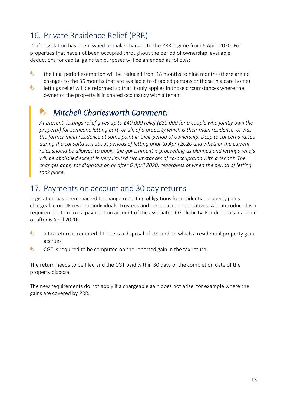#### <span id="page-12-0"></span>16. Private Residence Relief (PRR)

Draft legislation has been issued to make changes to the PRR regime from 6 April 2020. For properties that have not been occupied throughout the period of ownership, available deductions for capital gains tax purposes will be amended as follows:

- $\bullet$ the final period exemption will be reduced from 18 months to nine months (there are no changes to the 36 months that are available to disabled persons or those in a care home)
- $\bullet$ lettings relief will be reformed so that it only applies in those circumstances where the owner of the property is in shared occupancy with a tenant.

#### <span id="page-12-1"></span>*Mitchell Charlesworth Comment:*

*At present, lettings relief gives up to £40,000 relief (£80,000 for a couple who jointly own the property) for someone letting part, or all, of a property which is their main residence, or was the former main residence at some point in their period of ownership. Despite concerns raised during the consultation about periods of letting prior to April 2020 and whether the current rules should be allowed to apply, the government is proceeding as planned and lettings reliefs will be abolished except in very limited circumstances of co-occupation with a tenant. The changes apply for disposals on or after 6 April 2020, regardless of when the period of letting took place.*

#### <span id="page-12-2"></span>17. Payments on account and 30 day returns

Legislation has been enacted to change reporting obligations for residential property gains chargeable on UK resident individuals, trustees and personal representatives. Also introduced is a requirement to make a payment on account of the associated CGT liability. For disposals made on or after 6 April 2020:

- <span id="page-12-3"></span> $\bullet$ a tax return is required if there is a disposal of UK land on which a residential property gain accrues
- <span id="page-12-4"></span> $\bullet$ CGT is required to be computed on the reported gain in the tax return.

The return needs to be filed and the CGT paid within 30 days of the completion date of the property disposal.

The new requirements do not apply if a chargeable gain does not arise, for example where the gains are covered by PRR.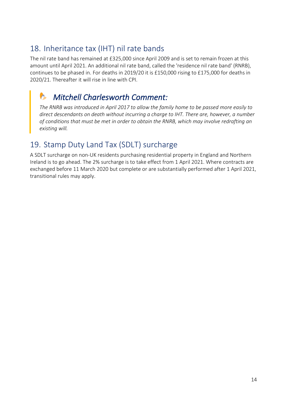#### <span id="page-13-0"></span>18. Inheritance tax (IHT) nil rate bands

The nil rate band has remained at £325,000 since April 2009 and is set to remain frozen at this amount until April 2021. An additional nil rate band, called the 'residence nil rate band' (RNRB), continues to be phased in. For deaths in 2019/20 it is £150,000 rising to £175,000 for deaths in 2020/21. Thereafter it will rise in line with CPI.

### <span id="page-13-1"></span>*Mitchell Charlesworth Comment:*

*The RNRB was introduced in April 2017 to allow the family home to be passed more easily to direct descendants on death without incurring a charge to IHT. There are, however, a number of conditions that must be met in order to obtain the RNRB, which may involve redrafting an existing will.*

#### <span id="page-13-2"></span>19. Stamp Duty Land Tax (SDLT) surcharge

A SDLT surcharge on non-UK residents purchasing residential property in England and Northern Ireland is to go ahead. The 2% surcharge is to take effect from 1 April 2021. Where contracts are exchanged before 11 March 2020 but complete or are substantially performed after 1 April 2021, transitional rules may apply.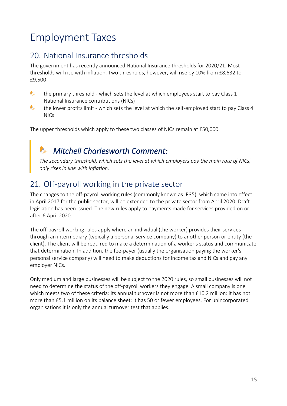## <span id="page-14-0"></span>Employment Taxes

#### <span id="page-14-1"></span>20. National Insurance thresholds

The government has recently announced National Insurance thresholds for 2020/21. Most thresholds will rise with inflation. Two thresholds, however, will rise by 10% from £8,632 to £9,500:

- $\bullet$ the primary threshold - which sets the level at which employees start to pay Class 1 National Insurance contributions (NICs)
- $\bullet$ the lower profits limit - which sets the level at which the self-employed start to pay Class 4 NICs.

The upper thresholds which apply to these two classes of NICs remain at £50,000.

## <span id="page-14-2"></span>*Mitchell Charlesworth Comment:*

*The secondary threshold, which sets the level at which employers pay the main rate of NICs, only rises in line with inflation.*

#### <span id="page-14-3"></span>21. Off-payroll working in the private sector

The changes to the off-payroll working rules (commonly known as IR35), which came into effect in April 2017 for the public sector, will be extended to the private sector from April 2020. Draft legislation has been issued. The new rules apply to payments made for services provided on or after 6 April 2020.

The off-payroll working rules apply where an individual (the worker) provides their services through an intermediary (typically a personal service company) to another person or entity (the client). The client will be required to make a determination of a worker's status and communicate that determination. In addition, the fee-payer (usually the organisation paying the worker's personal service company) will need to make deductions for income tax and NICs and pay any employer NICs.

Only medium and large businesses will be subject to the 2020 rules, so small businesses will not need to determine the status of the off-payroll workers they engage. A small company is one which meets two of these criteria: its annual turnover is not more than £10.2 million: it has not more than £5.1 million on its balance sheet: it has 50 or fewer employees. For unincorporated organisations it is only the annual turnover test that applies.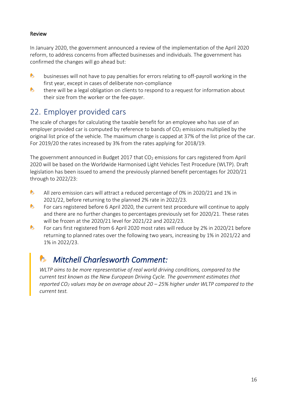#### Review

In January 2020, the government announced a review of the implementation of the April 2020 reform, to address concerns from affected businesses and individuals. The government has confirmed the changes will go ahead but:

- $\bullet$ businesses will not have to pay penalties for errors relating to off-payroll working in the first year, except in cases of deliberate non-compliance
- $\bullet$ there will be a legal obligation on clients to respond to a request for information about their size from the worker or the fee-payer.

#### <span id="page-15-0"></span>22. Employer provided cars

The scale of charges for calculating the taxable benefit for an employee who has use of an employer provided car is computed by reference to bands of  $CO<sub>2</sub>$  emissions multiplied by the original list price of the vehicle. The maximum charge is capped at 37% of the list price of the car. For 2019/20 the rates increased by 3% from the rates applying for 2018/19.

The government announced in Budget 2017 that  $CO<sub>2</sub>$  emissions for cars registered from April 2020 will be based on the Worldwide Harmonised Light Vehicles Test Procedure (WLTP). Draft legislation has been issued to amend the previously planned benefit percentages for 2020/21 through to 2022/23:

- $\bullet$ All zero emission cars will attract a reduced percentage of 0% in 2020/21 and 1% in 2021/22, before returning to the planned 2% rate in 2022/23.
- $\bullet$ For cars registered before 6 April 2020, the current test procedure will continue to apply and there are no further changes to percentages previously set for 2020/21. These rates will be frozen at the 2020/21 level for 2021/22 and 2022/23.
- $\bullet$ For cars first registered from 6 April 2020 most rates will reduce by 2% in 2020/21 before returning to planned rates over the following two years, increasing by 1% in 2021/22 and 1% in 2022/23.

### <span id="page-15-1"></span>*Mitchell Charlesworth Comment:*

*WLTP aims to be more representative of real world driving conditions, compared to the current test known as the New European Driving Cycle. The government estimates that reported CO<sup>2</sup> values may be on average about 20 – 25% higher under WLTP compared to the current test.*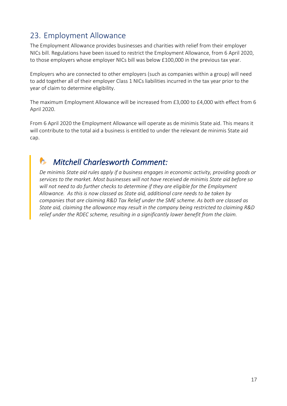#### <span id="page-16-0"></span>23. Employment Allowance

The Employment Allowance provides businesses and charities with relief from their employer NICs bill. Regulations have been issued to restrict the Employment Allowance, from 6 April 2020, to those employers whose employer NICs bill was below £100,000 in the previous tax year.

Employers who are connected to other employers (such as companies within a group) will need to add together all of their employer Class 1 NICs liabilities incurred in the tax year prior to the year of claim to determine eligibility.

The maximum Employment Allowance will be increased from £3,000 to £4,000 with effect from 6 April 2020.

From 6 April 2020 the Employment Allowance will operate as de minimis State aid. This means it will contribute to the total aid a business is entitled to under the relevant de minimis State aid cap.

### <span id="page-16-1"></span>*Mitchell Charlesworth Comment:*

*De minimis State aid rules apply if a business engages in economic activity, providing goods or services to the market. Most businesses will not have received de minimis State aid before so will not need to do further checks to determine if they are eligible for the Employment Allowance. As this is now classed as State aid, additional care needs to be taken by companies that are claiming R&D Tax Relief under the SME scheme. As both are classed as State aid, claiming the allowance may result in the company being restricted to claiming R&D relief under the RDEC scheme, resulting in a significantly lower benefit from the claim.*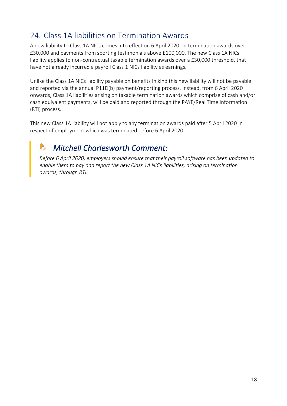#### <span id="page-17-0"></span>24. Class 1A liabilities on Termination Awards

A new liability to Class 1A NICs comes into effect on 6 April 2020 on termination awards over £30,000 and payments from sporting testimonials above £100,000. The new Class 1A NICs liability applies to non-contractual taxable termination awards over a £30,000 threshold, that have not already incurred a payroll Class 1 NICs liability as earnings.

Unlike the Class 1A NICs liability payable on benefits in kind this new liability will not be payable and reported via the annual P11D(b) payment/reporting process. Instead, from 6 April 2020 onwards, Class 1A liabilities arising on taxable termination awards which comprise of cash and/or cash equivalent payments, will be paid and reported through the PAYE/Real Time Information (RTI) process.

This new Class 1A liability will not apply to any termination awards paid after 5 April 2020 in respect of employment which was terminated before 6 April 2020.

## <span id="page-17-1"></span>*Mitchell Charlesworth Comment:*

*Before 6 April 2020, employers should ensure that their payroll software has been updated to enable them to pay and report the new Class 1A NICs liabilities, arising on termination awards, through RTI.*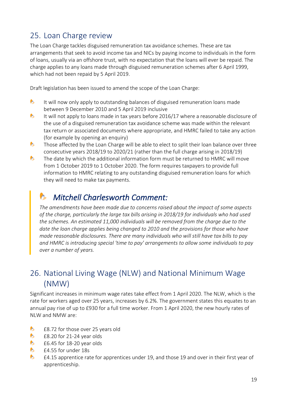#### <span id="page-18-0"></span>25. Loan Charge review

The Loan Charge tackles disguised remuneration tax avoidance schemes. These are tax arrangements that seek to avoid income tax and NICs by paying income to individuals in the form of loans, usually via an offshore trust, with no expectation that the loans will ever be repaid. The charge applies to any loans made through disguised remuneration schemes after 6 April 1999, which had not been repaid by 5 April 2019.

Draft legislation has been issued to amend the scope of the Loan Charge:

- $\bullet$ It will now only apply to outstanding balances of disguised remuneration loans made between 9 December 2010 and 5 April 2019 inclusive
- $\bullet$ It will not apply to loans made in tax years before 2016/17 where a reasonable disclosure of the use of a disguised remuneration tax avoidance scheme was made within the relevant tax return or associated documents where appropriate, and HMRC failed to take any action (for example by opening an enquiry)
- $\bullet$ Those affected by the Loan Charge will be able to elect to split their loan balance over three consecutive years 2018/19 to 2020/21 (rather than the full charge arising in 2018/19)
- $\bullet$ The date by which the additional information form must be returned to HMRC will move from 1 October 2019 to 1 October 2020. The form requires taxpayers to provide full information to HMRC relating to any outstanding disguised remuneration loans for which they will need to make tax payments.

### <span id="page-18-1"></span>*Mitchell Charlesworth Comment:*

*The amendments have been made due to concerns raised about the impact of some aspects of the charge, particularly the large tax bills arising in 2018/19 for individuals who had used the schemes. An estimated 11,000 individuals will be removed from the charge due to the date the loan charge applies being changed to 2010 and the provisions for those who have made reasonable disclosures. There are many individuals who will still have tax bills to pay and HMRC is introducing special 'time to pay' arrangements to allow some individuals to pay over a number of years.*

#### <span id="page-18-2"></span>26. National Living Wage (NLW) and National Minimum Wage (NMW)

Significant increases in minimum wage rates take effect from 1 April 2020. The NLW, which is the rate for workers aged over 25 years, increases by 6.2%. The government states this equates to an annual pay rise of up to £930 for a full time worker. From 1 April 2020, the new hourly rates of NLW and NMW are:

- $\bullet$ £8.72 for those over 25 years old
- $\bullet$ £8.20 for 21-24 year olds
- $\bullet$ £6.45 for 18-20 year olds
- $\bullet$ £4.55 for under 18s
- $\bullet$ £4.15 apprentice rate for apprentices under 19, and those 19 and over in their first year of apprenticeship.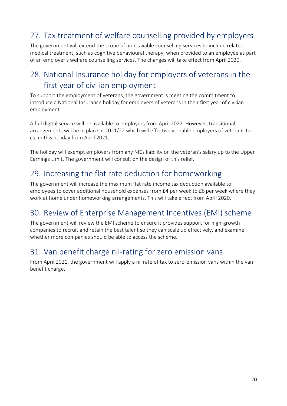### <span id="page-19-0"></span>27. Tax treatment of welfare counselling provided by employers

The government will extend the scope of non-taxable counselling services to include related medical treatment, such as cognitive behavioural therapy, when provided to an employee as part of an employer's welfare counselling services. The changes will take effect from April 2020.

#### <span id="page-19-1"></span>28. National Insurance holiday for employers of veterans in the first year of civilian employment

To support the employment of veterans, the government is meeting the commitment to introduce a National Insurance holiday for employers of veterans in their first year of civilian employment.

A full digital service will be available to employers from April 2022. However, transitional arrangements will be in place in 2021/22 which will effectively enable employers of veterans to claim this holiday from April 2021.

The holiday will exempt employers from any NICs liability on the veteran's salary up to the Upper Earnings Limit. The government will consult on the design of this relief.

#### <span id="page-19-2"></span>29. Increasing the flat rate deduction for homeworking

The government will increase the maximum flat rate income tax deduction available to employees to cover additional household expenses from £4 per week to £6 per week where they work at home under homeworking arrangements. This will take effect from April 2020.

#### <span id="page-19-3"></span>30. Review of Enterprise Management Incentives (EMI) scheme

The government will review the EMI scheme to ensure it provides support for high-growth companies to recruit and retain the best talent so they can scale up effectively, and examine whether more companies should be able to access the scheme.

#### <span id="page-19-4"></span>31. Van benefit charge nil-rating for zero emission vans

From April 2021, the government will apply a nil rate of tax to zero-emission vans within the van benefit charge.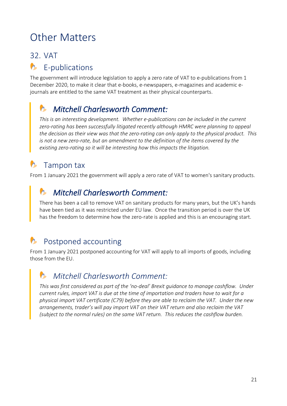## <span id="page-20-0"></span>Other Matters

#### <span id="page-20-1"></span>32. VAT

#### <span id="page-20-2"></span> $\bullet$ E-publications

The government will introduce legislation to apply a zero rate of VAT to e-publications from 1 December 2020, to make it clear that e-books, e-newspapers, e-magazines and academic ejournals are entitled to the same VAT treatment as their physical counterparts.

### <span id="page-20-3"></span>*Mitchell Charlesworth Comment:*

*This is an interesting development. Whether e-publications can be included in the current zero-rating has been successfully litigated recently although HMRC were planning to appeal the decision as their view was that the zero-rating can only apply to the physical product. This is not a new zero-rate, but an amendment to the definition of the items covered by the existing zero-rating so it will be interesting how this impacts the litigation.*

#### <span id="page-20-4"></span>**b** Tampon tax

From 1 January 2021 the government will apply a zero rate of VAT to women's sanitary products.

#### <span id="page-20-5"></span>*Mitchell Charlesworth Comment:*

There has been a call to remove VAT on sanitary products for many years, but the UK's hands have been tied as it was restricted under EU law. Once the transition period is over the UK has the freedom to determine how the zero-rate is applied and this is an encouraging start.

### <span id="page-20-6"></span>Postponed accounting

From 1 January 2021 postponed accounting for VAT will apply to all imports of goods, including those from the EU.

#### <span id="page-20-7"></span>*Mitchell Charlesworth Comment:*

*This was first considered as part of the 'no-deal' Brexit guidance to manage cashflow. Under current rules, import VAT is due at the time of importation and traders have to wait for a physical import VAT certificate (C79) before they are able to reclaim the VAT. Under the new arrangements, trader's will pay import VAT on their VAT return and also reclaim the VAT (subject to the normal rules) on the same VAT return. This reduces the cashflow burden.*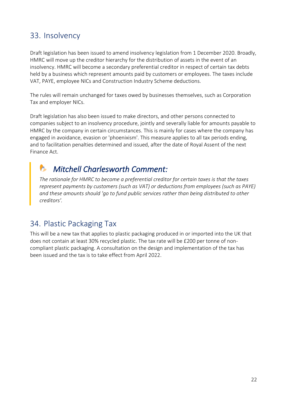#### <span id="page-21-0"></span>33. Insolvency

Draft legislation has been issued to amend insolvency legislation from 1 December 2020. Broadly, HMRC will move up the creditor hierarchy for the distribution of assets in the event of an insolvency. HMRC will become a secondary preferential creditor in respect of certain tax debts held by a business which represent amounts paid by customers or employees. The taxes include VAT, PAYE, employee NICs and Construction Industry Scheme deductions.

The rules will remain unchanged for taxes owed by businesses themselves, such as Corporation Tax and employer NICs.

Draft legislation has also been issued to make directors, and other persons connected to companies subject to an insolvency procedure, jointly and severally liable for amounts payable to HMRC by the company in certain circumstances. This is mainly for cases where the company has engaged in avoidance, evasion or 'phoenixism'. This measure applies to all tax periods ending, and to facilitation penalties determined and issued, after the date of Royal Assent of the next Finance Act.

### <span id="page-21-1"></span>*Mitchell Charlesworth Comment:*

*The rationale for HMRC to become a preferential creditor for certain taxes is that the taxes represent payments by customers (such as VAT) or deductions from employees (such as PAYE) and these amounts should 'go to fund public services rather than being distributed to other creditors'.*

#### <span id="page-21-2"></span>34. Plastic Packaging Tax

This will be a new tax that applies to plastic packaging produced in or imported into the UK that does not contain at least 30% recycled plastic. The tax rate will be £200 per tonne of noncompliant plastic packaging. A consultation on the design and implementation of the tax has been issued and the tax is to take effect from April 2022.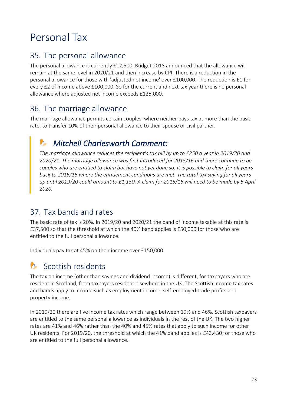## <span id="page-22-0"></span>Personal Tax

#### <span id="page-22-1"></span>35. The personal allowance

The personal allowance is currently £12,500. Budget 2018 announced that the allowance will remain at the same level in 2020/21 and then increase by CPI. There is a reduction in the personal allowance for those with 'adjusted net income' over £100,000. The reduction is £1 for every £2 of income above £100,000. So for the current and next tax year there is no personal allowance where adjusted net income exceeds £125,000.

#### <span id="page-22-2"></span>36. The marriage allowance

The marriage allowance permits certain couples, where neither pays tax at more than the basic rate, to transfer 10% of their personal allowance to their spouse or civil partner.

### <span id="page-22-3"></span>*Mitchell Charlesworth Comment:*

*The marriage allowance reduces the recipient's tax bill by up to £250 a year in 2019/20 and 2020/21. The marriage allowance was first introduced for 2015/16 and there continue to be couples who are entitled to claim but have not yet done so. It is possible to claim for all years back to 2015/16 where the entitlement conditions are met. The total tax saving for all years up until 2019/20 could amount to £1,150. A claim for 2015/16 will need to be made by 5 April 2020.*

#### <span id="page-22-4"></span>37. Tax bands and rates

The basic rate of tax is 20%. In 2019/20 and 2020/21 the band of income taxable at this rate is £37,500 so that the threshold at which the 40% band applies is £50,000 for those who are entitled to the full personal allowance.

Individuals pay tax at 45% on their income over £150,000.

#### <span id="page-22-5"></span>**C** Scottish residents

The tax on income (other than savings and dividend income) is different, for taxpayers who are resident in Scotland, from taxpayers resident elsewhere in the UK. The Scottish income tax rates and bands apply to income such as employment income, self-employed trade profits and property income.

In 2019/20 there are five income tax rates which range between 19% and 46%. Scottish taxpayers are entitled to the same personal allowance as individuals in the rest of the UK. The two higher rates are 41% and 46% rather than the 40% and 45% rates that apply to such income for other UK residents. For 2019/20, the threshold at which the 41% band applies is £43,430 for those who are entitled to the full personal allowance.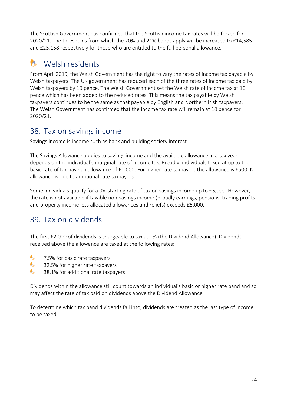The Scottish Government has confirmed that the Scottish income tax rates will be frozen for 2020/21. The thresholds from which the 20% and 21% bands apply will be increased to £14,585 and £25,158 respectively for those who are entitled to the full personal allowance.

#### <span id="page-23-0"></span>Welsh residents  $\sim$

From April 2019, the Welsh Government has the right to vary the rates of income tax payable by Welsh taxpayers. The UK government has reduced each of the three rates of income tax paid by Welsh taxpayers by 10 pence. The Welsh Government set the Welsh rate of income tax at 10 pence which has been added to the reduced rates. This means the tax payable by Welsh taxpayers continues to be the same as that payable by English and Northern Irish taxpayers. The Welsh Government has confirmed that the income tax rate will remain at 10 pence for 2020/21.

#### <span id="page-23-1"></span>38. Tax on savings income

Savings income is income such as bank and building society interest.

The Savings Allowance applies to savings income and the available allowance in a tax year depends on the individual's marginal rate of income tax. Broadly, individuals taxed at up to the basic rate of tax have an allowance of £1,000. For higher rate taxpayers the allowance is £500. No allowance is due to additional rate taxpayers.

Some individuals qualify for a 0% starting rate of tax on savings income up to £5,000. However, the rate is not available if taxable non-savings income (broadly earnings, pensions, trading profits and property income less allocated allowances and reliefs) exceeds £5,000.

#### <span id="page-23-2"></span>39. Tax on dividends

The first £2,000 of dividends is chargeable to tax at 0% (the Dividend Allowance). Dividends received above the allowance are taxed at the following rates:

- $\bullet$ 7.5% for basic rate taxpayers
- $\bullet$ 32.5% for higher rate taxpayers
- $\bullet$ 38.1% for additional rate taxpayers.

Dividends within the allowance still count towards an individual's basic or higher rate band and so may affect the rate of tax paid on dividends above the Dividend Allowance.

To determine which tax band dividends fall into, dividends are treated as the last type of income to be taxed.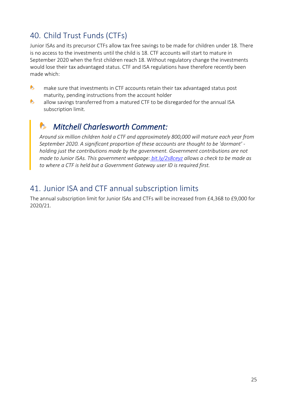### <span id="page-24-0"></span>40. Child Trust Funds (CTFs)

Junior ISAs and its precursor CTFs allow tax free savings to be made for children under 18. There is no access to the investments until the child is 18. CTF accounts will start to mature in September 2020 when the first children reach 18. Without regulatory change the investments would lose their tax advantaged status. CTF and ISA regulations have therefore recently been made which:

- $\bullet$ make sure that investments in CTF accounts retain their tax advantaged status post maturity, pending instructions from the account holder
- $\bullet$ allow savings transferred from a matured CTF to be disregarded for the annual ISA subscription limit.

### <span id="page-24-1"></span>*Mitchell Charlesworth Comment:*

*Around six million children hold a CTF and approximately 800,000 will mature each year from September 2020. A significant proportion of these accounts are thought to be 'dormant' holding just the contributions made by the government. Government contributions are not made to Junior ISAs. This government webpage[:](https://www.gov.uk/government/organisations/hm-revenue-customs/contact/child-trust-fund) [bit.ly/2s8ceyz](https://www.gov.uk/government/organisations/hm-revenue-customs/contact/child-trust-fund) allows a check to be made as to where a CTF is held but a Government Gateway user ID is required first.*

#### <span id="page-24-2"></span>41. Junior ISA and CTF annual subscription limits

The annual subscription limit for Junior ISAs and CTFs will be increased from £4,368 to £9,000 for 2020/21.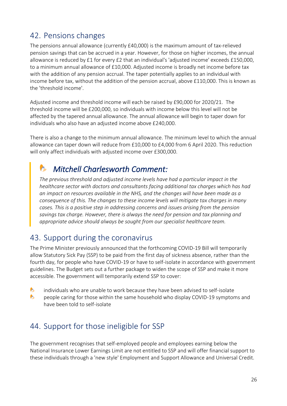#### <span id="page-25-0"></span>42. Pensions changes

The pensions annual allowance (currently £40,000) is the maximum amount of tax-relieved pension savings that can be accrued in a year. However, for those on higher incomes, the annual allowance is reduced by £1 for every £2 that an individual's 'adjusted income' exceeds £150,000, to a minimum annual allowance of £10,000. Adjusted income is broadly net income before tax with the addition of any pension accrual. The taper potentially applies to an individual with income before tax, without the addition of the pension accrual, above £110,000. This is known as the 'threshold income'.

Adjusted income and threshold income will each be raised by £90,000 for 2020/21. The threshold income will be £200,000, so individuals with income below this level will not be affected by the tapered annual allowance. The annual allowance will begin to taper down for individuals who also have an adjusted income above £240,000.

There is also a change to the minimum annual allowance. The minimum level to which the annual allowance can taper down will reduce from £10,000 to £4,000 from 6 April 2020. This reduction will only affect individuals with adjusted income over £300,000.

### <span id="page-25-1"></span>*Mitchell Charlesworth Comment:*

*The previous threshold and adjusted income levels have had a particular impact in the healthcare sector with doctors and consultants facing additional tax charges which has had an impact on resources available in the NHS, and the changes will have been made as a consequence of this. The changes to these income levels will mitigate tax charges in many cases. This is a positive step in addressing concerns and issues arising from the pension savings tax charge. However, there is always the need for pension and tax planning and appropriate advice should always be sought from our specialist healthcare team.*

#### <span id="page-25-2"></span>43. Support during the coronavirus

The Prime Minister previously announced that the forthcoming COVID-19 Bill will temporarily allow Statutory Sick Pay (SSP) to be paid from the first day of sickness absence, rather than the fourth day, for people who have COVID-19 or have to self-isolate in accordance with government guidelines. The Budget sets out a further package to widen the scope of SSP and make it more accessible. The government will temporarily extend SSP to cover:

- $\bullet$ individuals who are unable to work because they have been advised to self-isolate
- $\bullet$ people caring for those within the same household who display COVID-19 symptoms and have been told to self-isolate

#### <span id="page-25-3"></span>44. Support for those ineligible for SSP

The government recognises that self-employed people and employees earning below the National Insurance Lower Earnings Limit are not entitled to SSP and will offer financial support to these individuals through a 'new style' Employment and Support Allowance and Universal Credit.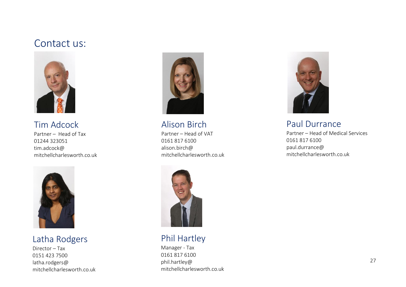#### Contact us:



Tim Adcock Partner – Head of Tax 01244 323051 tim.adcock@

<span id="page-26-0"></span>mitchellcharlesworth.co.uk



Latha Rodgers

Director – Tax 0151 423 7500 latha.rodgers@ mitchellcharlesworth.co.uk



Alison Birch Partner – Head of VAT

0161 817 6100 alison.birch@ mitchellcharlesworth.co.uk



Phil Hartley

Manager - Tax 0161 817 6100 phil.hartley@ mitchellcharlesworth.co.uk



Paul Durrance

Partner – Head of Medical Services 0161 817 6100 paul.durrance@ mitchellcharlesworth.co.uk